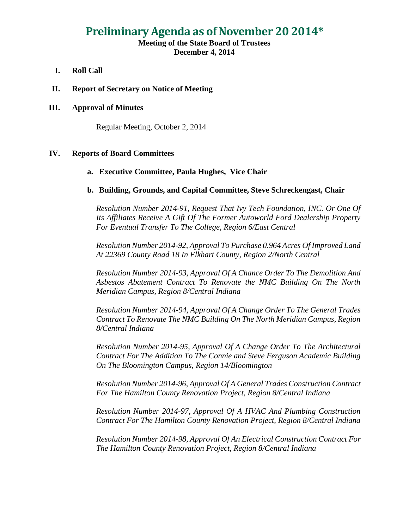# **Preliminary Agenda as of November 20 2014\***

## **Meeting of the State Board of Trustees December 4, 2014**

- **I. Roll Call**
- **II. Report of Secretary on Notice of Meeting**

#### **III. Approval of Minutes**

Regular Meeting, October 2, 2014

### **IV. Reports of Board Committees**

#### **a. Executive Committee, Paula Hughes, Vice Chair**

#### **b. Building, Grounds, and Capital Committee, Steve Schreckengast, Chair**

*Resolution Number 2014-91, Request That Ivy Tech Foundation, INC. Or One Of Its Affiliates Receive A Gift Of The Former Autoworld Ford Dealership Property For Eventual Transfer To The College, Region 6/East Central*

*Resolution Number 2014-92, Approval To Purchase 0.964 Acres Of Improved Land At 22369 County Road 18 In Elkhart County, Region 2/North Central*

*Resolution Number 2014-93, Approval Of A Chance Order To The Demolition And Asbestos Abatement Contract To Renovate the NMC Building On The North Meridian Campus, Region 8/Central Indiana*

*Resolution Number 2014-94, Approval Of A Change Order To The General Trades Contract To Renovate The NMC Building On The North Meridian Campus, Region 8/Central Indiana* 

*Resolution Number 2014-95, Approval Of A Change Order To The Architectural Contract For The Addition To The Connie and Steve Ferguson Academic Building On The Bloomington Campus, Region 14/Bloomington*

*Resolution Number 2014-96, Approval Of A General Trades Construction Contract For The Hamilton County Renovation Project, Region 8/Central Indiana*

*Resolution Number 2014-97, Approval Of A HVAC And Plumbing Construction Contract For The Hamilton County Renovation Project, Region 8/Central Indiana*

*Resolution Number 2014-98, Approval Of An Electrical Construction Contract For The Hamilton County Renovation Project, Region 8/Central Indiana*